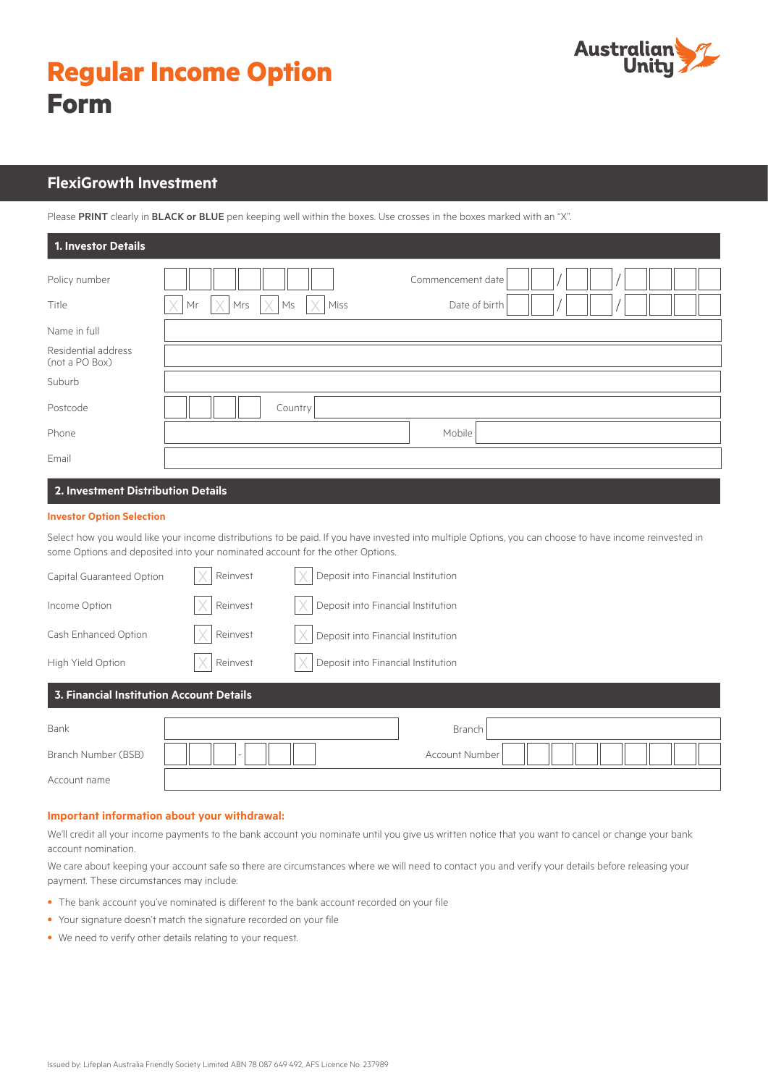| <b>Regular Income Option</b> |  |
|------------------------------|--|
| <b>Form</b>                  |  |



# **FlexiGrowth Investment**

Please PRINT clearly in BLACK or BLUE pen keeping well within the boxes. Use crosses in the boxes marked with an "X".

| 1. Investor Details                   |                                                                                                            |  |  |
|---------------------------------------|------------------------------------------------------------------------------------------------------------|--|--|
| Policy number<br>Title                | Commencement date<br>$\times$<br>l V.<br>X<br>Mrs<br>$\mathsf{M}\mathsf{s}$<br>Miss<br>Mr<br>Date of birth |  |  |
| Name in full                          |                                                                                                            |  |  |
| Residential address<br>(not a PO Box) |                                                                                                            |  |  |
| Suburb                                |                                                                                                            |  |  |
| Postcode                              | Country                                                                                                    |  |  |
| Phone                                 | Mobile                                                                                                     |  |  |
| Email                                 |                                                                                                            |  |  |
| 2. Investment Distribution Details    |                                                                                                            |  |  |

### **Investor Option Selection**

Select how you would like your income distributions to be paid. If you have invested into multiple Options, you can choose to have income reinvested in some Options and deposited into your nominated account for the other Options.

| Capital Guaranteed Option                | Reinvest      | Deposit into Financial Institution |
|------------------------------------------|---------------|------------------------------------|
| Income Option                            | Reinvest      | Deposit into Financial Institution |
| Cash Enhanced Option                     | Reinvest      | Deposit into Financial Institution |
| High Yield Option                        | Reinvest<br>X | Deposit into Financial Institution |
| 3. Financial Institution Account Details |               |                                    |
| Bank                                     |               | Branch                             |
| Branch Number (BSB)                      |               | <b>Account Number</b>              |
| Account name                             |               |                                    |

#### **Important information about your withdrawal:**

We'll credit all your income payments to the bank account you nominate until you give us written notice that you want to cancel or change your bank account nomination.

We care about keeping your account safe so there are circumstances where we will need to contact you and verify your details before releasing your payment. These circumstances may include:

- The bank account you've nominated is different to the bank account recorded on your file
- Your signature doesn't match the signature recorded on your file
- We need to verify other details relating to your request.